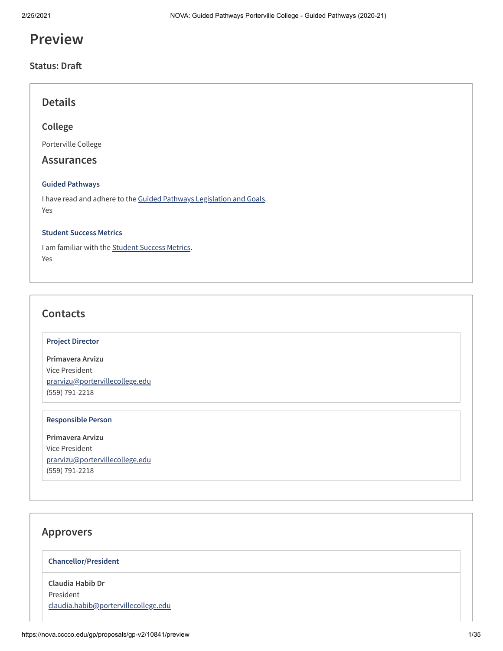# **Preview**

## **Status: Dra**

## **Details**

## **College**

Porterville College

## **Assurances**

#### **Guided Pathways**

I have read and adhere to the Guided Pathways [Legislation](https://leginfo.legislature.ca.gov/faces/codes_displayText.xhtml?lawCode=EDC&division=7.&title=3.&part=54.81.&chapter=&article=) and Goals. Yes

#### **Student Success Metrics**

I am familiar with the [Student](https://digitalfutures.cccco.edu/Projects/Student-Success-Metrics) Success Metrics. Yes

## **Contacts**

#### **Project Director**

**Primavera Arvizu** Vice President [prarvizu@portervillecollege.edu](mailto:prarvizu@portervillecollege.edu) (559) 791-2218

#### **Responsible Person**

**Primavera Arvizu** Vice President [prarvizu@portervillecollege.edu](mailto:prarvizu@portervillecollege.edu) (559) 791-2218

## **Approvers**

### **Chancellor/President**

**Claudia Habib Dr** President [claudia.habib@portervillecollege.edu](mailto:claudia.habib@portervillecollege.edu)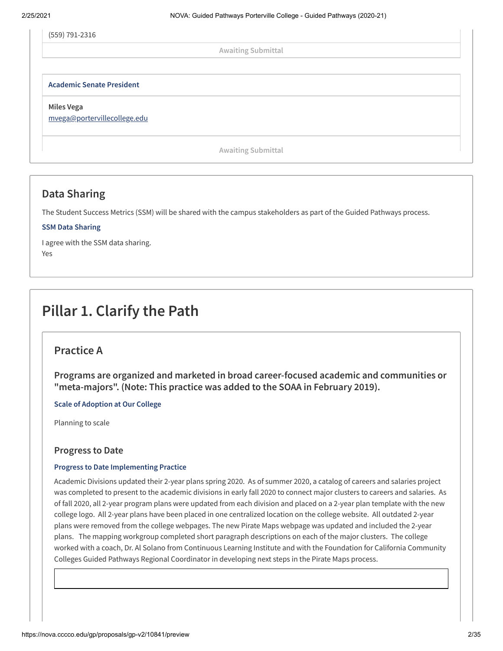(559) 791-2316

**Awaiting Submittal**

**Academic Senate President**

**Miles Vega**

[mvega@portervillecollege.edu](mailto:mvega@portervillecollege.edu)

**Awaiting Submittal**

## **Data Sharing**

The Student Success Metrics (SSM) will be shared with the campus stakeholders as part of the Guided Pathways process.

## **SSM Data Sharing**

I agree with the SSM data sharing. Yes

# **Pillar 1. Clarify the Path**

## **Practice A**

**Programs are organized and marketed in broad career-focused academic and communities or "meta-majors". (Note: This practice was added to the SOAA in February 2019).**

**Scale of Adoption at Our College**

Planning to scale

## **Progress to Date**

## **Progress to Date Implementing Practice**

Academic Divisions updated their 2-year plans spring 2020. As of summer 2020, a catalog of careers and salaries project was completed to present to the academic divisions in early fall 2020 to connect major clusters to careers and salaries. As of fall 2020, all 2-year program plans were updated from each division and placed on a 2-year plan template with the new college logo. All 2-year plans have been placed in one centralized location on the college website. All outdated 2-year plans were removed from the college webpages. The new Pirate Maps webpage was updated and included the 2-year plans. The mapping workgroup completed short paragraph descriptions on each of the major clusters. The college worked with a coach, Dr. Al Solano from Continuous Learning Institute and with the Foundation for California Community Colleges Guided Pathways Regional Coordinator in developing next steps in the Pirate Maps process.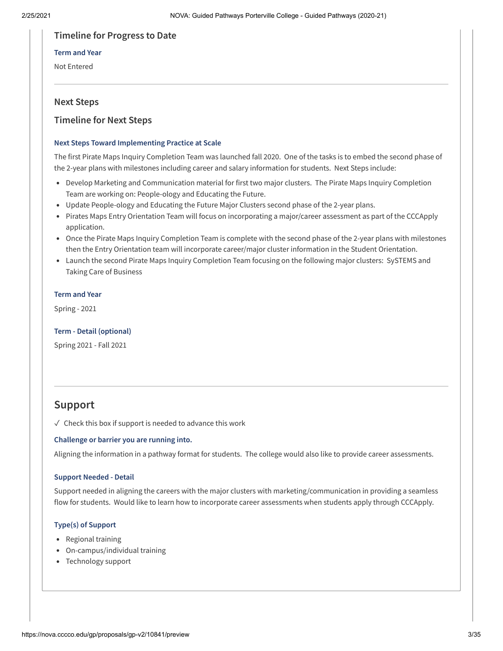## **Timeline for Progress to Date**

## **Term and Year**

Not Entered

## **Next Steps**

## **Timeline for Next Steps**

## **Next Steps Toward Implementing Practice at Scale**

The first Pirate Maps Inquiry Completion Team was launched fall 2020. One of the tasks is to embed the second phase of the 2-year plans with milestones including career and salary information for students. Next Steps include:

- Develop Marketing and Communication material for first two major clusters. The Pirate Maps Inquiry Completion Team are working on: People-ology and Educating the Future.
- Update People-ology and Educating the Future Major Clusters second phase of the 2-year plans.
- Pirates Maps Entry Orientation Team will focus on incorporating a major/career assessment as part of the CCCApply application.
- Once the Pirate Maps Inquiry Completion Team is complete with the second phase of the 2-year plans with milestones then the Entry Orientation team will incorporate career/major cluster information in the Student Orientation.
- Launch the second Pirate Maps Inquiry Completion Team focusing on the following major clusters: SySTEMS and Taking Care of Business

## **Term and Year**

Spring - 2021

## **Term - Detail (optional)**

Spring 2021 - Fall 2021

## **Support**

 $\sqrt{ }$  Check this box if support is needed to advance this work

## **Challenge or barrier you are running into.**

Aligning the information in a pathway format for students. The college would also like to provide career assessments.

## **Support Needed - Detail**

Support needed in aligning the careers with the major clusters with marketing/communication in providing a seamless flow for students. Would like to learn how to incorporate career assessments when students apply through CCCApply.

## **Type(s) of Support**

- Regional training
- On-campus/individual training
- Technology support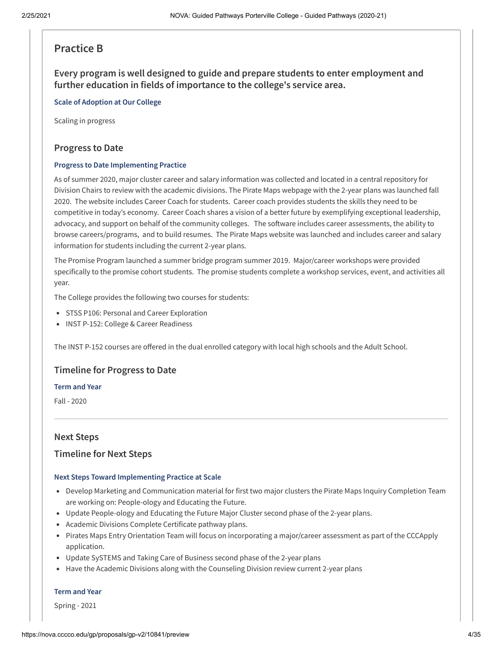## **Practice B**

**Every program is well designed to guide and prepare students to enter employment and further education in fields of importance to the college's service area.**

#### **Scale of Adoption at Our College**

Scaling in progress

## **Progress to Date**

#### **Progress to Date Implementing Practice**

As of summer 2020, major cluster career and salary information was collected and located in a central repository for Division Chairs to review with the academic divisions. The Pirate Maps webpage with the 2-year plans was launched fall 2020. The website includes Career Coach for students. Career coach provides students the skills they need to be competitive in today's economy. Career Coach shares a vision of a better future by exemplifying exceptional leadership, advocacy, and support on behalf of the community colleges. The software includes career assessments, the ability to browse careers/programs, and to build resumes. The Pirate Maps website was launched and includes career and salary information for students including the current 2-year plans.

The Promise Program launched a summer bridge program summer 2019. Major/career workshops were provided specifically to the promise cohort students. The promise students complete a workshop services, event, and activities all year.

The College provides the following two courses for students:

- STSS P106: Personal and Career Exploration
- INST P-152: College & Career Readiness

The INST P-152 courses are offered in the dual enrolled category with local high schools and the Adult School.

## **Timeline for Progress to Date**

#### **Term and Year**

Fall - 2020

## **Next Steps**

## **Timeline for Next Steps**

#### **Next Steps Toward Implementing Practice at Scale**

- Develop Marketing and Communication material for first two major clusters the Pirate Maps Inquiry Completion Team are working on: People-ology and Educating the Future.
- Update People-ology and Educating the Future Major Cluster second phase of the 2-year plans.
- Academic Divisions Complete Certificate pathway plans.
- Pirates Maps Entry Orientation Team will focus on incorporating a major/career assessment as part of the CCCApply application.
- Update SySTEMS and Taking Care of Business second phase of the 2-year plans
- Have the Academic Divisions along with the Counseling Division review current 2-year plans

#### **Term and Year**

Spring - 2021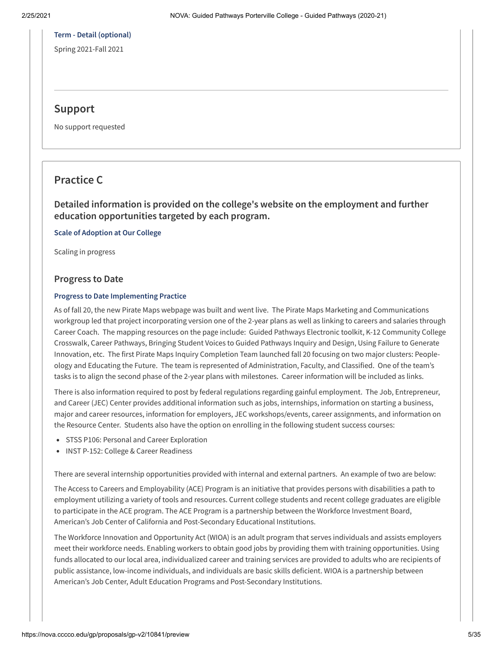## **Term - Detail (optional)**

Spring 2021-Fall 2021

## **Support**

No support requested

## **Practice C**

**Detailed information is provided on the college's website on the employment and further education opportunities targeted by each program.**

**Scale of Adoption at Our College**

Scaling in progress

## **Progress to Date**

#### **Progress to Date Implementing Practice**

As of fall 20, the new Pirate Maps webpage was built and went live. The Pirate Maps Marketing and Communications workgroup led that project incorporating version one of the 2-year plans as well as linking to careers and salaries through Career Coach. The mapping resources on the page include: Guided Pathways Electronic toolkit, K-12 Community College Crosswalk, Career Pathways, Bringing Student Voices to Guided Pathways Inquiry and Design, Using Failure to Generate Innovation, etc. The first Pirate Maps Inquiry Completion Team launched fall 20 focusing on two major clusters: Peopleology and Educating the Future. The team is represented of Administration, Faculty, and Classified. One of the team's tasks is to align the second phase of the 2-year plans with milestones. Career information will be included as links.

There is also information required to post by federal regulations regarding gainful employment. The Job, Entrepreneur, and Career (JEC) Center provides additional information such as jobs, internships, information on starting a business, major and career resources, information for employers, JEC workshops/events, career assignments, and information on the Resource Center. Students also have the option on enrolling in the following student success courses:

- STSS P106: Personal and Career Exploration
- INST P-152: College & Career Readiness

There are several internship opportunities provided with internal and external partners. An example of two are below:

The Access to Careers and Employability (ACE) Program is an initiative that provides persons with disabilities a path to employment utilizing a variety of tools and resources. Current college students and recent college graduates are eligible to participate in the ACE program. The ACE Program is a partnership between the Workforce Investment Board, American's Job Center of California and Post-Secondary Educational Institutions.

The Workforce Innovation and Opportunity Act (WIOA) is an adult program that serves individuals and assists employers meet their workforce needs. Enabling workers to obtain good jobs by providing them with training opportunities. Using funds allocated to our local area, individualized career and training services are provided to adults who are recipients of public assistance, low-income individuals, and individuals are basic skills deficient. WIOA is a partnership between American's Job Center, Adult Education Programs and Post-Secondary Institutions.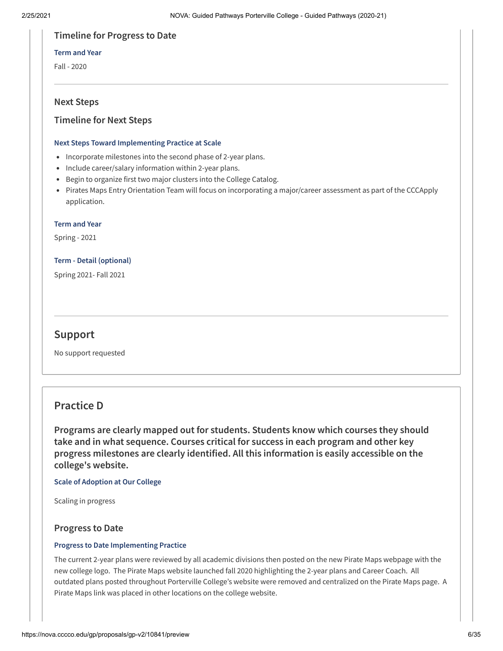## **Timeline for Progress to Date**

#### **Term and Year**

Fall - 2020

## **Next Steps**

## **Timeline for Next Steps**

## **Next Steps Toward Implementing Practice at Scale**

- Incorporate milestones into the second phase of 2-year plans.
- Include career/salary information within 2-year plans.
- Begin to organize first two major clusters into the College Catalog.
- Pirates Maps Entry Orientation Team will focus on incorporating a major/career assessment as part of the CCCApply application.

#### **Term and Year**

Spring - 2021

## **Term - Detail (optional)**

Spring 2021- Fall 2021

## **Support**

No support requested

## **Practice D**

**Programs are clearly mapped out for students. Students know which courses they should take and in what sequence. Courses critical for success in each program and other key progress milestones are clearly identified. All this information is easily accessible on the college's website.**

## **Scale of Adoption at Our College**

Scaling in progress

## **Progress to Date**

## **Progress to Date Implementing Practice**

The current 2-year plans were reviewed by all academic divisions then posted on the new Pirate Maps webpage with the new college logo. The Pirate Maps website launched fall 2020 highlighting the 2-year plans and Career Coach. All outdated plans posted throughout Porterville College's website were removed and centralized on the Pirate Maps page. A Pirate Maps link was placed in other locations on the college website.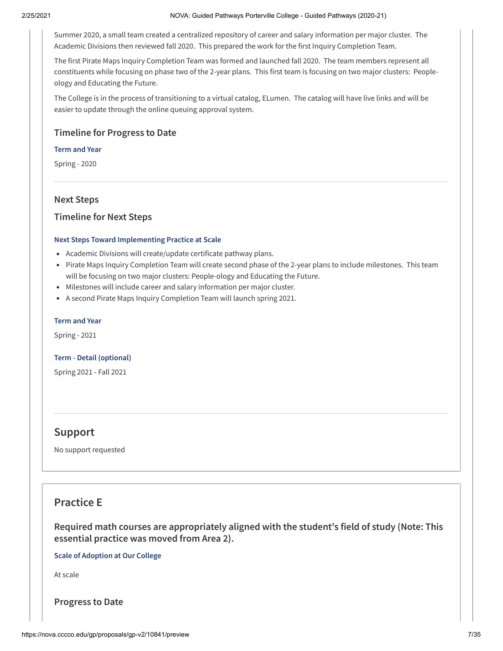Summer 2020, a small team created a centralized repository of career and salary information per major cluster. The Academic Divisions then reviewed fall 2020. This prepared the work for the first Inquiry Completion Team.

The first Pirate Maps Inquiry Completion Team was formed and launched fall 2020. The team members represent all constituents while focusing on phase two of the 2-year plans. This first team is focusing on two major clusters: Peopleology and Educating the Future.

The College is in the process of transitioning to a virtual catalog, ELumen. The catalog will have live links and will be easier to update through the online queuing approval system.

## **Timeline for Progress to Date**

#### **Term and Year**

Spring - 2020

## **Next Steps**

## **Timeline for Next Steps**

#### **Next Steps Toward Implementing Practice at Scale**

- Academic Divisions will create/update certificate pathway plans.
- Pirate Maps Inquiry Completion Team will create second phase of the 2-year plans to include milestones. This team will be focusing on two major clusters: People-ology and Educating the Future.
- Milestones will include career and salary information per major cluster.
- A second Pirate Maps Inquiry Completion Team will launch spring 2021.

#### **Term and Year**

Spring - 2021

#### **Term - Detail (optional)**

Spring 2021 - Fall 2021

## **Support**

No support requested

## **Practice E**

**Required math courses are appropriately aligned with the student's field of study (Note: This essential practice was moved from Area 2).**

**Scale of Adoption at Our College**

At scale

**Progress to Date**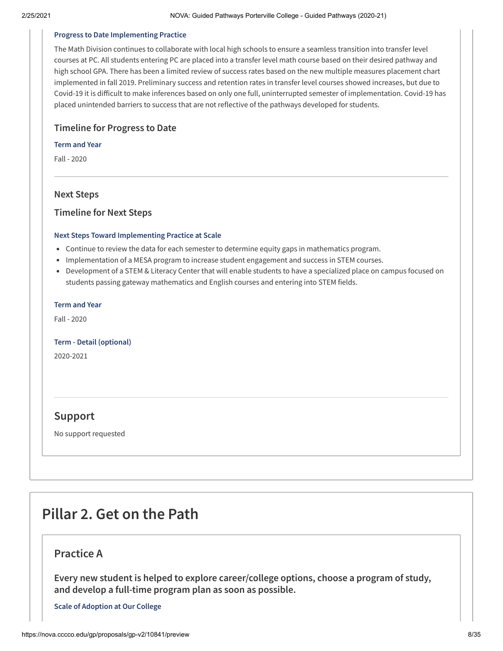#### **Progress to Date Implementing Practice**

The Math Division continues to collaborate with local high schools to ensure a seamless transition into transfer level courses at PC. All students entering PC are placed into a transfer level math course based on their desired pathway and high school GPA. There has been a limited review of success rates based on the new multiple measures placement chart implemented in fall 2019. Preliminary success and retention rates in transfer level courses showed increases, but due to Covid-19 it is difficult to make inferences based on only one full, uninterrupted semester of implementation. Covid-19 has placed unintended barriers to success that are not reflective of the pathways developed for students.

## **Timeline for Progress to Date**

#### **Term and Year**

Fall - 2020

## **Next Steps**

## **Timeline for Next Steps**

#### **Next Steps Toward Implementing Practice at Scale**

- Continue to review the data for each semester to determine equity gaps in mathematics program.
- Implementation of a MESA program to increase student engagement and success in STEM courses.
- Development of a STEM & Literacy Center that will enable students to have a specialized place on campus focused on students passing gateway mathematics and English courses and entering into STEM fields.

#### **Term and Year**

Fall - 2020

#### **Term - Detail (optional)**

2020-2021

## **Support**

No support requested

# **Pillar 2. Get on the Path**

## **Practice A**

**Every new student is helped to explore career/college options, choose a program of study, and develop a full-time program plan as soon as possible.**

**Scale of Adoption at Our College**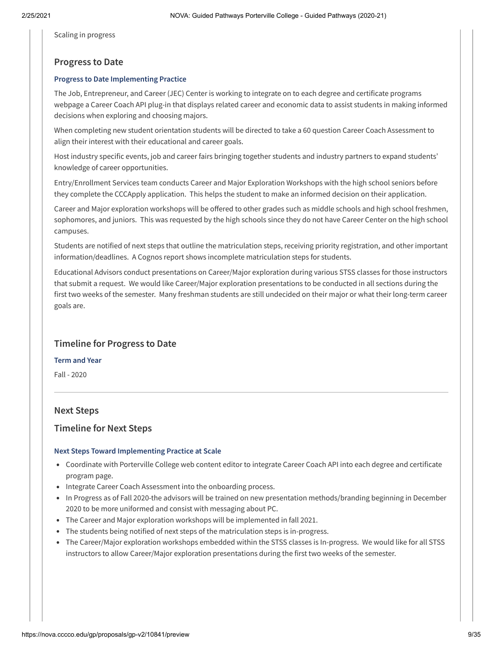Scaling in progress

## **Progress to Date**

## **Progress to Date Implementing Practice**

The Job, Entrepreneur, and Career (JEC) Center is working to integrate on to each degree and certificate programs webpage a Career Coach API plug-in that displays related career and economic data to assist students in making informed decisions when exploring and choosing majors.

When completing new student orientation students will be directed to take a 60 question Career Coach Assessment to align their interest with their educational and career goals.

Host industry specific events, job and career fairs bringing together students and industry partners to expand students' knowledge of career opportunities.

Entry/Enrollment Services team conducts Career and Major Exploration Workshops with the high school seniors before they complete the CCCApply application. This helps the student to make an informed decision on their application.

Career and Major exploration workshops will be offered to other grades such as middle schools and high school freshmen, sophomores, and juniors. This was requested by the high schools since they do not have Career Center on the high school campuses.

Students are notified of next steps that outline the matriculation steps, receiving priority registration, and other important information/deadlines. A Cognos report shows incomplete matriculation steps for students.

Educational Advisors conduct presentations on Career/Major exploration during various STSS classes for those instructors that submit a request. We would like Career/Major exploration presentations to be conducted in all sections during the first two weeks of the semester. Many freshman students are still undecided on their major or what their long-term career goals are.

## **Timeline for Progress to Date**

**Term and Year**

Fall - 2020

## **Next Steps**

## **Timeline for Next Steps**

## **Next Steps Toward Implementing Practice at Scale**

- Coordinate with Porterville College web content editor to integrate Career Coach API into each degree and certificate program page.
- Integrate Career Coach Assessment into the onboarding process.
- In Progress as of Fall 2020-the advisors will be trained on new presentation methods/branding beginning in December 2020 to be more uniformed and consist with messaging about PC.
- The Career and Major exploration workshops will be implemented in fall 2021.
- The students being notified of next steps of the matriculation steps is in-progress.
- The Career/Major exploration workshops embedded within the STSS classes is In-progress. We would like for all STSS instructors to allow Career/Major exploration presentations during the first two weeks of the semester.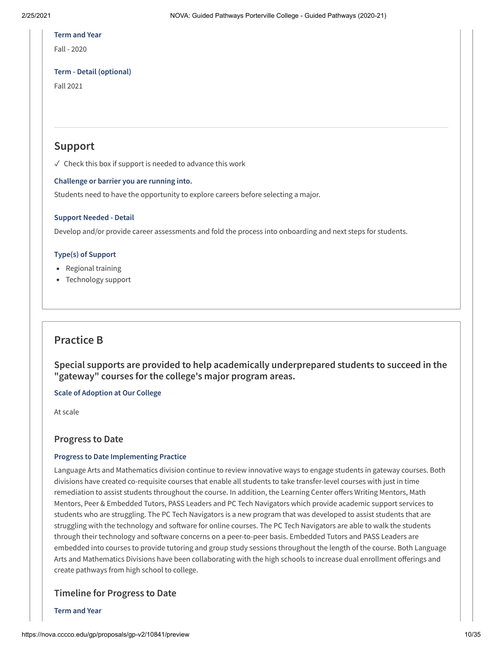#### **Term and Year**

Fall - 2020

## **Term - Detail (optional)**

Fall 2021

## **Support**

 $\sqrt{\ }$  Check this box if support is needed to advance this work

## **Challenge or barrier you are running into.**

Students need to have the opportunity to explore careers before selecting a major.

## **Support Needed - Detail**

Develop and/or provide career assessments and fold the process into onboarding and next steps for students.

## **Type(s) of Support**

- Regional training
- Technology support

## **Practice B**

**Special supports are provided to help academically underprepared students to succeed in the "gateway" courses for the college's major program areas.**

## **Scale of Adoption at Our College**

At scale

## **Progress to Date**

## **Progress to Date Implementing Practice**

Language Arts and Mathematics division continue to review innovative ways to engage students in gateway courses. Both divisions have created co-requisite courses that enable all students to take transfer-level courses with just in time remediation to assist students throughout the course. In addition, the Learning Center offers Writing Mentors, Math Mentors, Peer & Embedded Tutors, PASS Leaders and PC Tech Navigators which provide academic support services to students who are struggling. The PC Tech Navigators is a new program that was developed to assist students that are struggling with the technology and software for online courses. The PC Tech Navigators are able to walk the students through their technology and software concerns on a peer-to-peer basis. Embedded Tutors and PASS Leaders are embedded into courses to provide tutoring and group study sessions throughout the length of the course. Both Language Arts and Mathematics Divisions have been collaborating with the high schools to increase dual enrollment offerings and create pathways from high school to college.

## **Timeline for Progress to Date**

**Term and Year**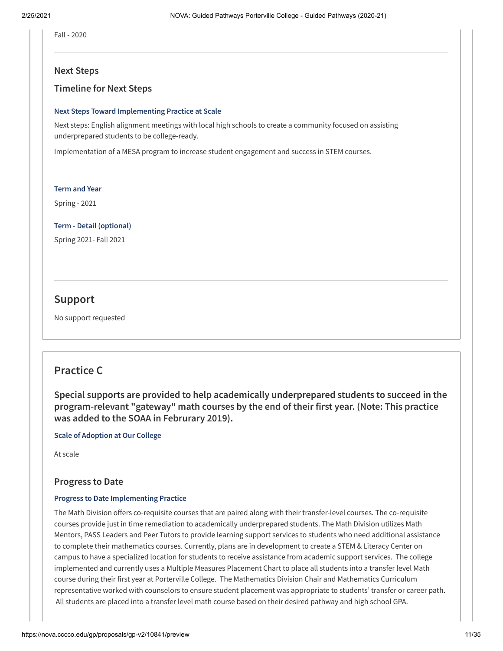Fall - 2020

### **Next Steps**

## **Timeline for Next Steps**

#### **Next Steps Toward Implementing Practice at Scale**

Next steps: English alignment meetings with local high schools to create a community focused on assisting underprepared students to be college-ready.

Implementation of a MESA program to increase student engagement and success in STEM courses.

#### **Term and Year**

Spring - 2021

## **Term - Detail (optional)**

Spring 2021- Fall 2021

## **Support**

No support requested

## **Practice C**

**Special supports are provided to help academically underprepared students to succeed in the program-relevant "gateway" math courses by the end of their first year. (Note: This practice was added to the SOAA in Februrary 2019).**

**Scale of Adoption at Our College**

At scale

## **Progress to Date**

#### **Progress to Date Implementing Practice**

The Math Division offers co-requisite courses that are paired along with their transfer-level courses. The co-requisite courses provide just in time remediation to academically underprepared students. The Math Division utilizes Math Mentors, PASS Leaders and Peer Tutors to provide learning support services to students who need additional assistance to complete their mathematics courses. Currently, plans are in development to create a STEM & Literacy Center on campus to have a specialized location for students to receive assistance from academic support services. The college implemented and currently uses a Multiple Measures Placement Chart to place all students into a transfer level Math course during their first year at Porterville College. The Mathematics Division Chair and Mathematics Curriculum representative worked with counselors to ensure student placement was appropriate to students' transfer or career path. All students are placed into a transfer level math course based on their desired pathway and high school GPA.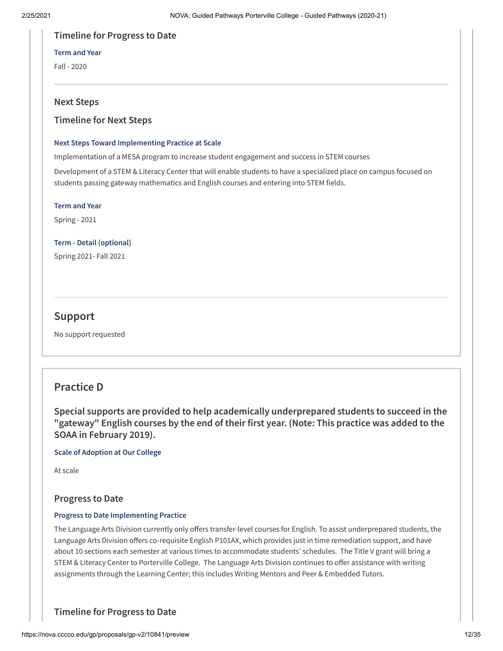## **Timeline for Progress to Date**

### **Term and Year**

Fall - 2020

## **Next Steps**

## **Timeline for Next Steps**

## **Next Steps Toward Implementing Practice at Scale**

Implementation of a MESA program to increase student engagement and success in STEM courses

Development of a STEM & Literacy Center that will enable students to have a specialized place on campus focused on students passing gateway mathematics and English courses and entering into STEM fields.

#### **Term and Year**

Spring - 2021

**Term - Detail (optional)**

Spring 2021- Fall 2021

## **Support**

No support requested

## **Practice D**

**Special supports are provided to help academically underprepared students to succeed in the "gateway" English courses by the end of their first year. (Note: This practice was added to the SOAA in February 2019).**

**Scale of Adoption at Our College**

At scale

## **Progress to Date**

## **Progress to Date Implementing Practice**

The Language Arts Division currently only offers transfer-level courses for English. To assist underprepared students, the Language Arts Division offers co-requisite English P101AX, which provides just in time remediation support, and have about 10 sections each semester at various times to accommodate students' schedules. The Title V grant will bring a STEM & Literacy Center to Porterville College. The Language Arts Division continues to offer assistance with writing assignments through the Learning Center; this includes Writing Mentors and Peer & Embedded Tutors.

**Timeline for Progress to Date**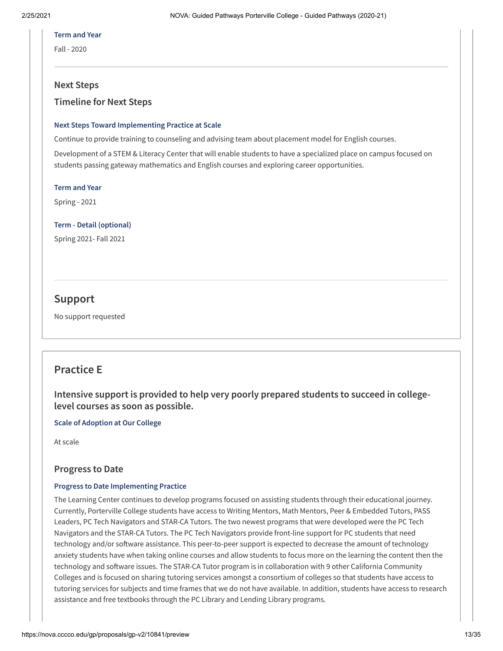#### **Term and Year**

Fall - 2020

## **Next Steps**

## **Timeline for Next Steps**

#### **Next Steps Toward Implementing Practice at Scale**

Continue to provide training to counseling and advising team about placement model for English courses.

Development of a STEM & Literacy Center that will enable students to have a specialized place on campus focused on students passing gateway mathematics and English courses and exploring career opportunities.

#### **Term and Year**

Spring - 2021

#### **Term - Detail (optional)**

Spring 2021- Fall 2021

## **Support**

No support requested

## **Practice E**

**Intensive support is provided to help very poorly prepared students to succeed in collegelevel courses as soon as possible.**

## **Scale of Adoption at Our College**

At scale

## **Progress to Date**

## **Progress to Date Implementing Practice**

The Learning Center continues to develop programs focused on assisting students through their educational journey. Currently, Porterville College students have access to Writing Mentors, Math Mentors, Peer & Embedded Tutors, PASS Leaders, PC Tech Navigators and STAR-CA Tutors. The two newest programs that were developed were the PC Tech Navigators and the STAR-CA Tutors. The PC Tech Navigators provide front-line support for PC students that need technology and/or software assistance. This peer-to-peer support is expected to decrease the amount of technology anxiety students have when taking online courses and allow students to focus more on the learning the content then the technology and software issues. The STAR-CA Tutor program is in collaboration with 9 other California Community Colleges and is focused on sharing tutoring services amongst a consortium of colleges so that students have access to tutoring services for subjects and time frames that we do not have available. In addition, students have access to research assistance and free textbooks through the PC Library and Lending Library programs.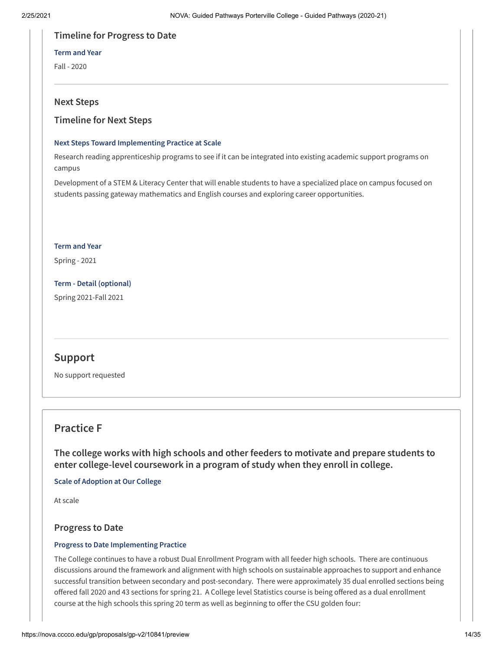## **Timeline for Progress to Date**

### **Term and Year**

Fall - 2020

## **Next Steps**

## **Timeline for Next Steps**

## **Next Steps Toward Implementing Practice at Scale**

Research reading apprenticeship programs to see if it can be integrated into existing academic support programs on campus

Development of a STEM & Literacy Center that will enable students to have a specialized place on campus focused on students passing gateway mathematics and English courses and exploring career opportunities.

#### **Term and Year**

Spring - 2021

**Term - Detail (optional)** Spring 2021-Fall 2021

## **Support**

No support requested

## **Practice F**

**The college works with high schools and other feeders to motivate and prepare students to enter college-level coursework in a program of study when they enroll in college.**

**Scale of Adoption at Our College**

At scale

## **Progress to Date**

## **Progress to Date Implementing Practice**

The College continues to have a robust Dual Enrollment Program with all feeder high schools. There are continuous discussions around the framework and alignment with high schools on sustainable approaches to support and enhance successful transition between secondary and post-secondary. There were approximately 35 dual enrolled sections being offered fall 2020 and 43 sections for spring 21. A College level Statistics course is being offered as a dual enrollment course at the high schools this spring 20 term as well as beginning to offer the CSU golden four: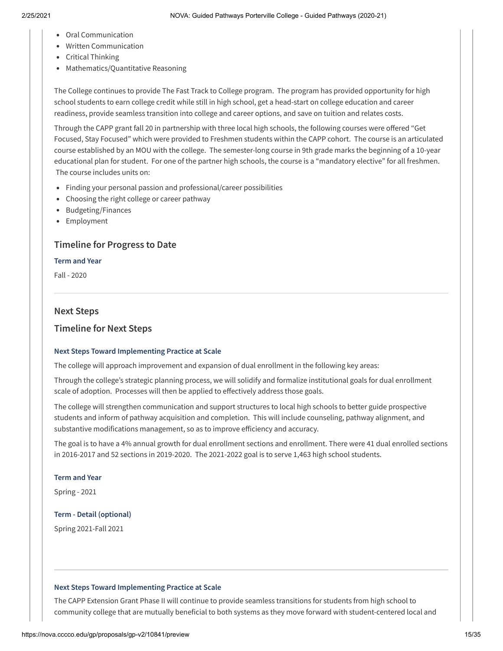- Oral Communication
- Written Communication
- Critical Thinking
- Mathematics/Quantitative Reasoning

The College continues to provide The Fast Track to College program. The program has provided opportunity for high school students to earn college credit while still in high school, get a head-start on college education and career readiness, provide seamless transition into college and career options, and save on tuition and relates costs.

Through the CAPP grant fall 20 in partnership with three local high schools, the following courses were offered "Get Focused, Stay Focused" which were provided to Freshmen students within the CAPP cohort. The course is an articulated course established by an MOU with the college. The semester-long course in 9th grade marks the beginning of a 10-year educational plan for student. For one of the partner high schools, the course is a "mandatory elective" for all freshmen. The course includes units on:

- Finding your personal passion and professional/career possibilities
- Choosing the right college or career pathway
- Budgeting/Finances
- Employment

## **Timeline for Progress to Date**

#### **Term and Year**

Fall - 2020

## **Next Steps**

## **Timeline for Next Steps**

## **Next Steps Toward Implementing Practice at Scale**

The college will approach improvement and expansion of dual enrollment in the following key areas:

Through the college's strategic planning process, we will solidify and formalize institutional goals for dual enrollment scale of adoption. Processes will then be applied to effectively address those goals.

The college will strengthen communication and support structures to local high schools to better guide prospective students and inform of pathway acquisition and completion. This will include counseling, pathway alignment, and substantive modifications management, so as to improve efficiency and accuracy.

The goal is to have a 4% annual growth for dual enrollment sections and enrollment. There were 41 dual enrolled sections in 2016-2017 and 52 sections in 2019-2020. The 2021-2022 goal is to serve 1,463 high school students.

## **Term and Year**

Spring - 2021

## **Term - Detail (optional)**

Spring 2021-Fall 2021

## **Next Steps Toward Implementing Practice at Scale**

The CAPP Extension Grant Phase II will continue to provide seamless transitions for students from high school to community college that are mutually beneficial to both systems as they move forward with student-centered local and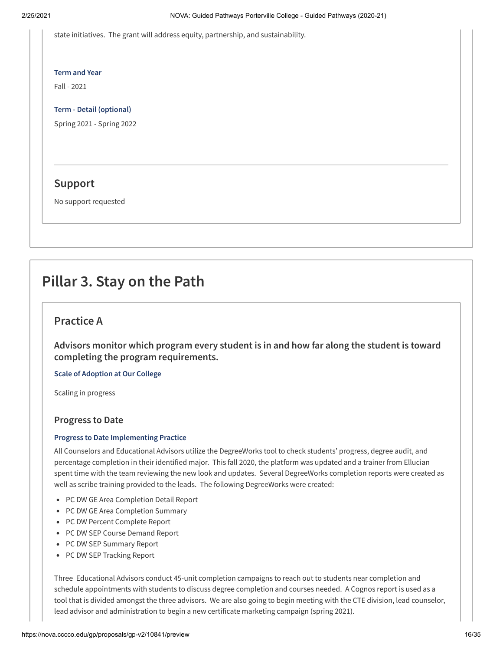state initiatives. The grant will address equity, partnership, and sustainability.

#### **Term and Year**

Fall - 2021

#### **Term - Detail (optional)**

Spring 2021 - Spring 2022

## **Support**

No support requested

# **Pillar 3. Stay on the Path**

## **Practice A**

**Advisors monitor which program every student is in and how far along the student is toward completing the program requirements.**

## **Scale of Adoption at Our College**

Scaling in progress

## **Progress to Date**

## **Progress to Date Implementing Practice**

All Counselors and Educational Advisors utilize the DegreeWorks tool to check students' progress, degree audit, and percentage completion in their identified major. This fall 2020, the platform was updated and a trainer from Ellucian spent time with the team reviewing the new look and updates. Several DegreeWorks completion reports were created as well as scribe training provided to the leads. The following DegreeWorks were created:

- PC DW GE Area Completion Detail Report
- PC DW GE Area Completion Summary
- PC DW Percent Complete Report
- PC DW SEP Course Demand Report
- PC DW SEP Summary Report
- PC DW SEP Tracking Report

Three Educational Advisors conduct 45-unit completion campaigns to reach out to students near completion and schedule appointments with students to discuss degree completion and courses needed. A Cognos report is used as a tool that is divided amongst the three advisors. We are also going to begin meeting with the CTE division, lead counselor, lead advisor and administration to begin a new certificate marketing campaign (spring 2021).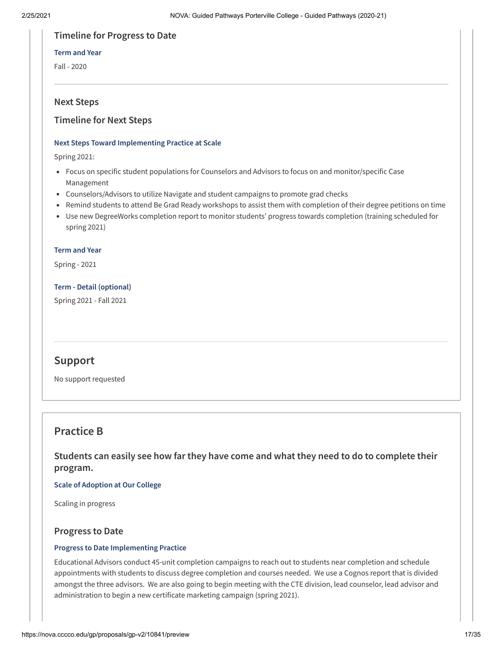## **Timeline for Progress to Date**

## **Term and Year**

Fall - 2020

## **Next Steps**

## **Timeline for Next Steps**

## **Next Steps Toward Implementing Practice at Scale**

Spring 2021:

- Focus on specific student populations for Counselors and Advisors to focus on and monitor/specific Case Management
- Counselors/Advisors to utilize Navigate and student campaigns to promote grad checks
- Remind students to attend Be Grad Ready workshops to assist them with completion of their degree petitions on time
- Use new DegreeWorks completion report to monitor students' progress towards completion (training scheduled for spring 2021)

#### **Term and Year**

Spring - 2021

## **Term - Detail (optional)**

Spring 2021 - Fall 2021

## **Support**

No support requested

## **Practice B**

**Students can easily see how far they have come and what they need to do to complete their program.**

## **Scale of Adoption at Our College**

Scaling in progress

## **Progress to Date**

## **Progress to Date Implementing Practice**

Educational Advisors conduct 45-unit completion campaigns to reach out to students near completion and schedule appointments with students to discuss degree completion and courses needed. We use a Cognos report that is divided amongst the three advisors. We are also going to begin meeting with the CTE division, lead counselor, lead advisor and administration to begin a new certificate marketing campaign (spring 2021).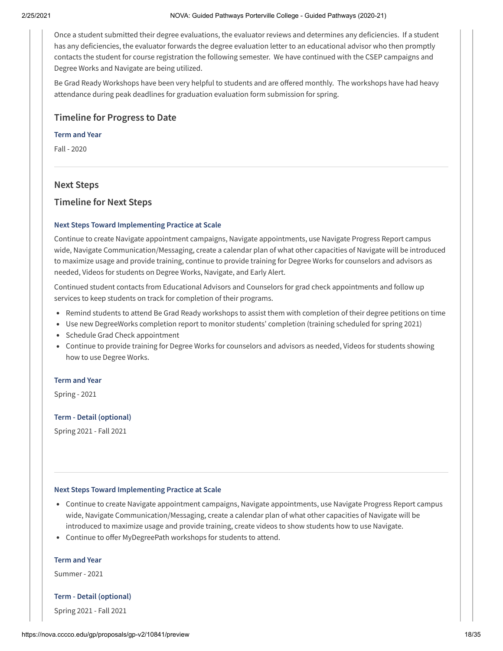Once a student submitted their degree evaluations, the evaluator reviews and determines any deficiencies. If a student has any deficiencies, the evaluator forwards the degree evaluation letter to an educational advisor who then promptly contacts the student for course registration the following semester. We have continued with the CSEP campaigns and Degree Works and Navigate are being utilized.

Be Grad Ready Workshops have been very helpful to students and are offered monthly. The workshops have had heavy attendance during peak deadlines for graduation evaluation form submission for spring.

## **Timeline for Progress to Date**

#### **Term and Year**

Fall - 2020

## **Next Steps**

## **Timeline for Next Steps**

#### **Next Steps Toward Implementing Practice at Scale**

Continue to create Navigate appointment campaigns, Navigate appointments, use Navigate Progress Report campus wide, Navigate Communication/Messaging, create a calendar plan of what other capacities of Navigate will be introduced to maximize usage and provide training, continue to provide training for Degree Works for counselors and advisors as needed, Videos for students on Degree Works, Navigate, and Early Alert.

Continued student contacts from Educational Advisors and Counselors for grad check appointments and follow up services to keep students on track for completion of their programs.

- Remind students to attend Be Grad Ready workshops to assist them with completion of their degree petitions on time
- Use new DegreeWorks completion report to monitor students' completion (training scheduled for spring 2021)
- Schedule Grad Check appointment
- Continue to provide training for Degree Works for counselors and advisors as needed, Videos for students showing how to use Degree Works.

#### **Term and Year**

Spring - 2021

#### **Term - Detail (optional)**

Spring 2021 - Fall 2021

#### **Next Steps Toward Implementing Practice at Scale**

- Continue to create Navigate appointment campaigns, Navigate appointments, use Navigate Progress Report campus wide, Navigate Communication/Messaging, create a calendar plan of what other capacities of Navigate will be introduced to maximize usage and provide training, create videos to show students how to use Navigate.
- Continue to offer MyDegreePath workshops for students to attend.

#### **Term and Year**

Summer - 2021

#### **Term - Detail (optional)**

Spring 2021 - Fall 2021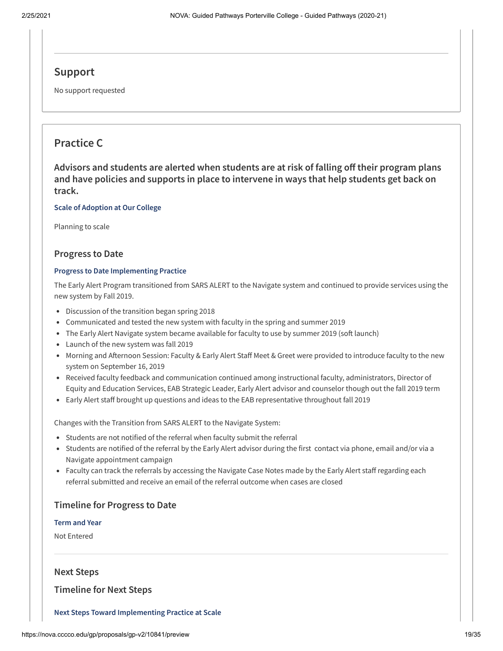## **Support**

No support requested

## **Practice C**

**Advisors and students are alerted when students are at risk of falling o their program plans and have policies and supports in place to intervene in ways that help students get back on track.**

#### **Scale of Adoption at Our College**

Planning to scale

## **Progress to Date**

#### **Progress to Date Implementing Practice**

The Early Alert Program transitioned from SARS ALERT to the Navigate system and continued to provide services using the new system by Fall 2019.

- Discussion of the transition began spring 2018
- Communicated and tested the new system with faculty in the spring and summer 2019
- The Early Alert Navigate system became available for faculty to use by summer 2019 (soft launch)
- Launch of the new system was fall 2019
- Morning and Afternoon Session: Faculty & Early Alert Staff Meet & Greet were provided to introduce faculty to the new system on September 16, 2019
- Received faculty feedback and communication continued among instructional faculty, administrators, Director of Equity and Education Services, EAB Strategic Leader, Early Alert advisor and counselor though out the fall 2019 term
- Early Alert staff brought up questions and ideas to the EAB representative throughout fall 2019

Changes with the Transition from SARS ALERT to the Navigate System:

- Students are not notified of the referral when faculty submit the referral
- Students are notified of the referral by the Early Alert advisor during the first contact via phone, email and/or via a Navigate appointment campaign
- Faculty can track the referrals by accessing the Navigate Case Notes made by the Early Alert staff regarding each referral submitted and receive an email of the referral outcome when cases are closed

## **Timeline for Progress to Date**

## **Term and Year**

Not Entered

## **Next Steps**

**Timeline for Next Steps**

#### **Next Steps Toward Implementing Practice at Scale**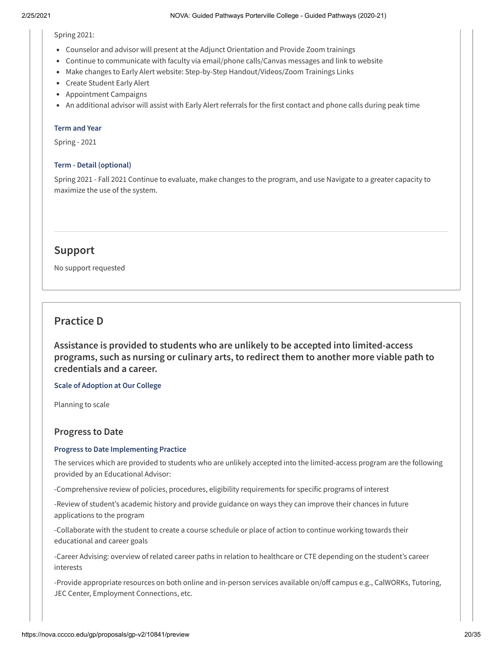#### Spring 2021:

- Counselor and advisor will present at the Adjunct Orientation and Provide Zoom trainings
- Continue to communicate with faculty via email/phone calls/Canvas messages and link to website
- Make changes to Early Alert website: Step-by-Step Handout/Videos/Zoom Trainings Links
- Create Student Early Alert
- Appointment Campaigns
- An additional advisor will assist with Early Alert referrals for the first contact and phone calls during peak time

#### **Term and Year**

Spring - 2021

### **Term - Detail (optional)**

Spring 2021 - Fall 2021 Continue to evaluate, make changes to the program, and use Navigate to a greater capacity to maximize the use of the system.

## **Support**

No support requested

## **Practice D**

**Assistance is provided to students who are unlikely to be accepted into limited-access programs, such as nursing or culinary arts, to redirect them to another more viable path to credentials and a career.**

## **Scale of Adoption at Our College**

Planning to scale

## **Progress to Date**

## **Progress to Date Implementing Practice**

The services which are provided to students who are unlikely accepted into the limited-access program are the following provided by an Educational Advisor:

-Comprehensive review of policies, procedures, eligibility requirements for specific programs of interest

-Review of student's academic history and provide guidance on ways they can improve their chances in future applications to the program

-Collaborate with the student to create a course schedule or place of action to continue working towards their educational and career goals

-Career Advising: overview of related career paths in relation to healthcare or CTE depending on the student's career interests

-Provide appropriate resources on both online and in-person services available on/off campus e.g., CalWORKs, Tutoring, JEC Center, Employment Connections, etc.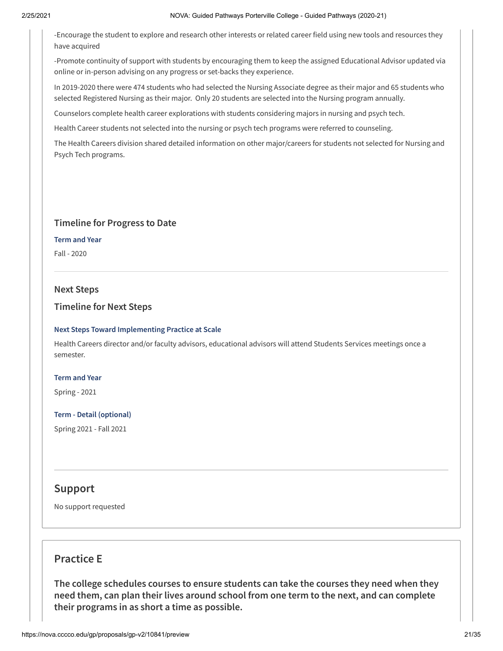-Encourage the student to explore and research other interests or related career field using new tools and resources they have acquired

-Promote continuity of support with students by encouraging them to keep the assigned Educational Advisor updated via online or in-person advising on any progress or set-backs they experience.

In 2019-2020 there were 474 students who had selected the Nursing Associate degree as their major and 65 students who selected Registered Nursing as their major. Only 20 students are selected into the Nursing program annually.

Counselors complete health career explorations with students considering majors in nursing and psych tech.

Health Career students not selected into the nursing or psych tech programs were referred to counseling.

The Health Careers division shared detailed information on other major/careers for students not selected for Nursing and Psych Tech programs.

## **Timeline for Progress to Date**

#### **Term and Year**

Fall - 2020

## **Next Steps**

## **Timeline for Next Steps**

## **Next Steps Toward Implementing Practice at Scale**

Health Careers director and/or faculty advisors, educational advisors will attend Students Services meetings once a semester.

## **Term and Year**

Spring - 2021

## **Term - Detail (optional)**

Spring 2021 - Fall 2021

## **Support**

No support requested

## **Practice E**

**The college schedules courses to ensure students can take the courses they need when they need them, can plan their lives around school from one term to the next, and can complete their programs in as short a time as possible.**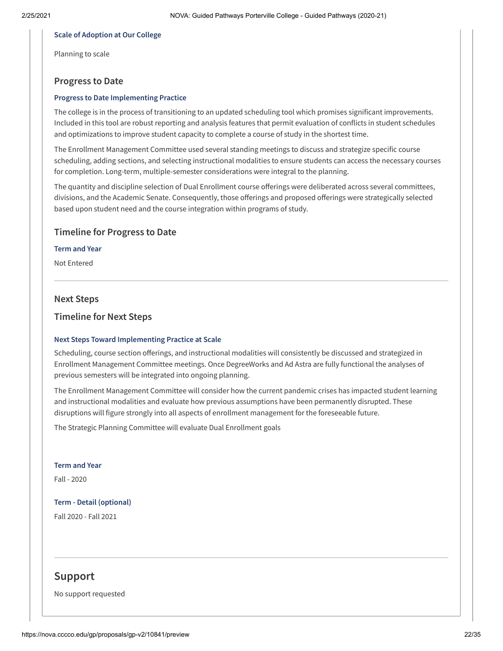#### **Scale of Adoption at Our College**

Planning to scale

## **Progress to Date**

#### **Progress to Date Implementing Practice**

The college is in the process of transitioning to an updated scheduling tool which promises significant improvements. Included in this tool are robust reporting and analysis features that permit evaluation of conflicts in student schedules and optimizations to improve student capacity to complete a course of study in the shortest time.

The Enrollment Management Committee used several standing meetings to discuss and strategize specific course scheduling, adding sections, and selecting instructional modalities to ensure students can access the necessary courses for completion. Long-term, multiple-semester considerations were integral to the planning.

The quantity and discipline selection of Dual Enrollment course offerings were deliberated across several committees, divisions, and the Academic Senate. Consequently, those offerings and proposed offerings were strategically selected based upon student need and the course integration within programs of study.

## **Timeline for Progress to Date**

#### **Term and Year**

Not Entered

#### **Next Steps**

## **Timeline for Next Steps**

#### **Next Steps Toward Implementing Practice at Scale**

Scheduling, course section offerings, and instructional modalities will consistently be discussed and strategized in Enrollment Management Committee meetings. Once DegreeWorks and Ad Astra are fully functional the analyses of previous semesters will be integrated into ongoing planning.

The Enrollment Management Committee will consider how the current pandemic crises has impacted student learning and instructional modalities and evaluate how previous assumptions have been permanently disrupted. These disruptions will figure strongly into all aspects of enrollment management for the foreseeable future.

The Strategic Planning Committee will evaluate Dual Enrollment goals

**Term and Year** Fall - 2020

**Term - Detail (optional)** Fall 2020 - Fall 2021

## **Support**

No support requested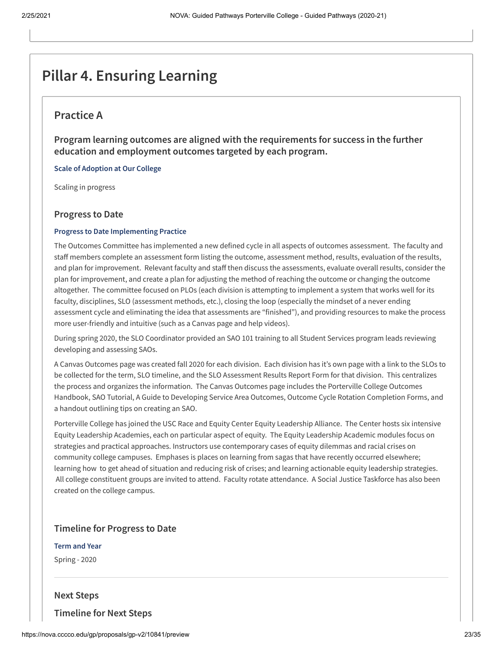# **Pillar 4. Ensuring Learning**

## **Practice A**

**Program learning outcomes are aligned with the requirements for success in the further education and employment outcomes targeted by each program.**

**Scale of Adoption at Our College**

Scaling in progress

## **Progress to Date**

#### **Progress to Date Implementing Practice**

The Outcomes Committee has implemented a new defined cycle in all aspects of outcomes assessment. The faculty and staff members complete an assessment form listing the outcome, assessment method, results, evaluation of the results, and plan for improvement. Relevant faculty and staff then discuss the assessments, evaluate overall results, consider the plan for improvement, and create a plan for adjusting the method of reaching the outcome or changing the outcome altogether. The committee focused on PLOs (each division is attempting to implement a system that works well for its faculty, disciplines, SLO (assessment methods, etc.), closing the loop (especially the mindset of a never ending assessment cycle and eliminating the idea that assessments are "finished"), and providing resources to make the process more user-friendly and intuitive (such as a Canvas page and help videos).

During spring 2020, the SLO Coordinator provided an SAO 101 training to all Student Services program leads reviewing developing and assessing SAOs.

A Canvas Outcomes page was created fall 2020 for each division. Each division has it's own page with a link to the SLOs to be collected for the term, SLO timeline, and the SLO Assessment Results Report Form for that division. This centralizes the process and organizes the information. The Canvas Outcomes page includes the Porterville College Outcomes Handbook, SAO Tutorial, A Guide to Developing Service Area Outcomes, Outcome Cycle Rotation Completion Forms, and a handout outlining tips on creating an SAO.

Porterville College has joined the USC Race and Equity Center Equity Leadership Alliance. The Center hosts six intensive Equity Leadership Academies, each on particular aspect of equity. The Equity Leadership Academic modules focus on strategies and practical approaches. Instructors use contemporary cases of equity dilemmas and racial crises on community college campuses. Emphases is places on learning from sagas that have recently occurred elsewhere; learning how to get ahead of situation and reducing risk of crises; and learning actionable equity leadership strategies. All college constituent groups are invited to attend. Faculty rotate attendance. A Social Justice Taskforce has also been created on the college campus.

## **Timeline for Progress to Date**

#### **Term and Year**

Spring - 2020

## **Next Steps**

**Timeline for Next Steps**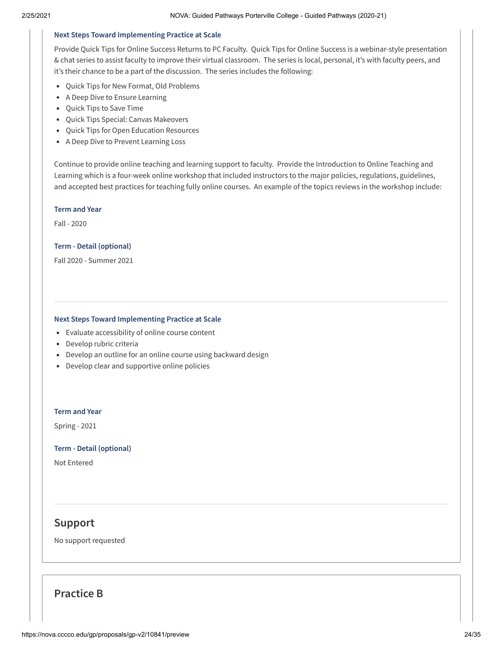#### **Next Steps Toward Implementing Practice at Scale**

Provide Quick Tips for Online Success Returns to PC Faculty. Quick Tips for Online Success is a webinar-style presentation & chat series to assist faculty to improve their virtual classroom. The series is local, personal, it's with faculty peers, and it's their chance to be a part of the discussion. The series includes the following:

- Quick Tips for New Format, Old Problems
- A Deep Dive to Ensure Learning
- Quick Tips to Save Time
- Quick Tips Special: Canvas Makeovers
- Quick Tips for Open Education Resources
- A Deep Dive to Prevent Learning Loss

Continue to provide online teaching and learning support to faculty. Provide the Introduction to Online Teaching and Learning which is a four-week online workshop that included instructors to the major policies, regulations, guidelines, and accepted best practices for teaching fully online courses. An example of the topics reviews in the workshop include:

#### **Term and Year**

Fall - 2020

#### **Term - Detail (optional)**

Fall 2020 - Summer 2021

#### **Next Steps Toward Implementing Practice at Scale**

- Evaluate accessibility of online course content
- Develop rubric criteria
- Develop an outline for an online course using backward design
- Develop clear and supportive online policies

#### **Term and Year**

Spring - 2021

#### **Term - Detail (optional)**

Not Entered

## **Support**

No support requested

## **Practice B**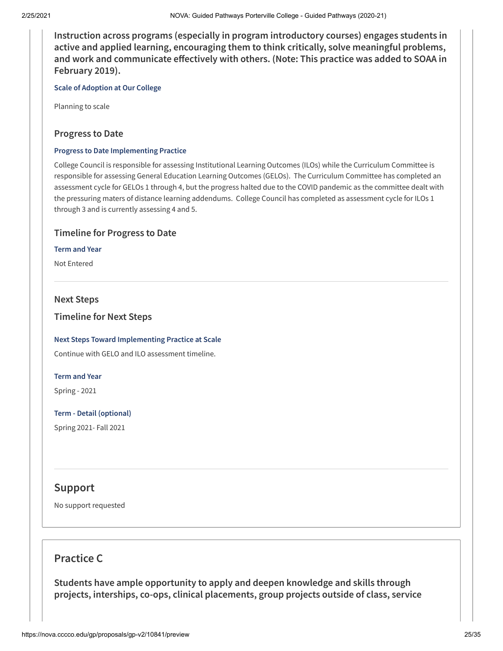**Instruction across programs (especially in program introductory courses) engages students in active and applied learning, encouraging them to think critically, solve meaningful problems, and** work and communicate effectively with others. (Note: This practice was added to SOAA in **February 2019).**

**Scale of Adoption at Our College**

Planning to scale

## **Progress to Date**

#### **Progress to Date Implementing Practice**

College Council is responsible for assessing Institutional Learning Outcomes (ILOs) while the Curriculum Committee is responsible for assessing General Education Learning Outcomes (GELOs). The Curriculum Committee has completed an assessment cycle for GELOs 1 through 4, but the progress halted due to the COVID pandemic as the committee dealt with the pressuring maters of distance learning addendums. College Council has completed as assessment cycle for ILOs 1 through 3 and is currently assessing 4 and 5.

## **Timeline for Progress to Date**

## **Term and Year**

Not Entered

## **Next Steps**

**Timeline for Next Steps**

## **Next Steps Toward Implementing Practice at Scale**

Continue with GELO and ILO assessment timeline.

## **Term and Year**

Spring - 2021

**Term - Detail (optional)** Spring 2021- Fall 2021

## **Support**

No support requested

## **Practice C**

**Students have ample opportunity to apply and deepen knowledge and skills through projects, interships, co-ops, clinical placements, group projects outside of class, service**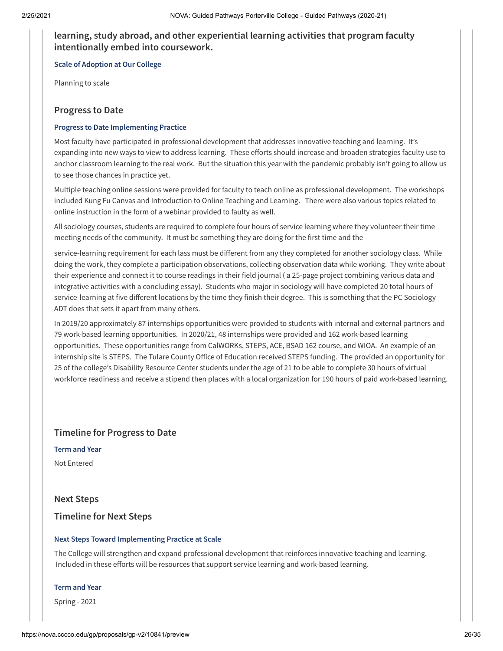## **learning, study abroad, and other experiential learning activities that program faculty intentionally embed into coursework.**

**Scale of Adoption at Our College**

Planning to scale

## **Progress to Date**

#### **Progress to Date Implementing Practice**

Most faculty have participated in professional development that addresses innovative teaching and learning. It's expanding into new ways to view to address learning. These efforts should increase and broaden strategies faculty use to anchor classroom learning to the real work. But the situation this year with the pandemic probably isn't going to allow us to see those chances in practice yet.

Multiple teaching online sessions were provided for faculty to teach online as professional development. The workshops included Kung Fu Canvas and Introduction to Online Teaching and Learning. There were also various topics related to online instruction in the form of a webinar provided to faulty as well.

All sociology courses, students are required to complete four hours of service learning where they volunteer their time meeting needs of the community. It must be something they are doing for the first time and the

service-learning requirement for each lass must be different from any they completed for another sociology class. While doing the work, they complete a participation observations, collecting observation data while working. They write about their experience and connect it to course readings in their field journal ( a 25-page project combining various data and integrative activities with a concluding essay). Students who major in sociology will have completed 20 total hours of service-learning at five different locations by the time they finish their degree. This is something that the PC Sociology ADT does that sets it apart from many others.

In 2019/20 approximately 87 internships opportunities were provided to students with internal and external partners and 79 work-based learning opportunities. In 2020/21, 48 internships were provided and 162 work-based learning opportunities. These opportunities range from CalWORKs, STEPS, ACE, BSAD 162 course, and WIOA. An example of an internship site is STEPS. The Tulare County Office of Education received STEPS funding. The provided an opportunity for 25 of the college's Disability Resource Center students under the age of 21 to be able to complete 30 hours of virtual workforce readiness and receive a stipend then places with a local organization for 190 hours of paid work-based learning.

## **Timeline for Progress to Date**

**Term and Year**

Not Entered

## **Next Steps**

## **Timeline for Next Steps**

#### **Next Steps Toward Implementing Practice at Scale**

The College will strengthen and expand professional development that reinforces innovative teaching and learning. Included in these efforts will be resources that support service learning and work-based learning.

#### **Term and Year**

Spring - 2021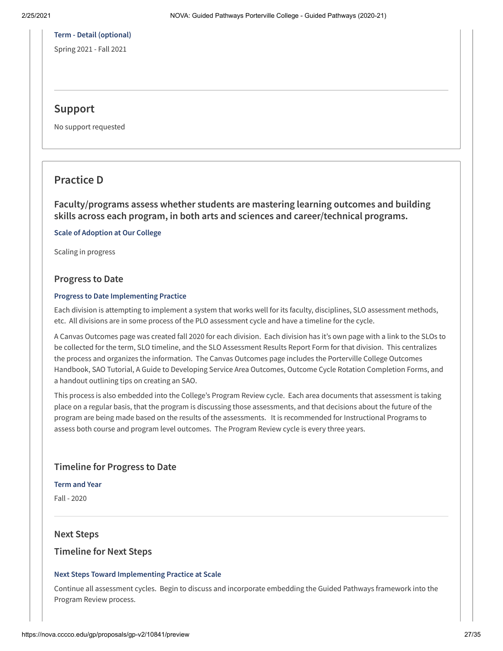## **Term - Detail (optional)**

Spring 2021 - Fall 2021

## **Support**

No support requested

## **Practice D**

**Faculty/programs assess whether students are mastering learning outcomes and building skills across each program, in both arts and sciences and career/technical programs.**

**Scale of Adoption at Our College**

Scaling in progress

## **Progress to Date**

#### **Progress to Date Implementing Practice**

Each division is attempting to implement a system that works well for its faculty, disciplines, SLO assessment methods, etc. All divisions are in some process of the PLO assessment cycle and have a timeline for the cycle.

A Canvas Outcomes page was created fall 2020 for each division. Each division has it's own page with a link to the SLOs to be collected for the term, SLO timeline, and the SLO Assessment Results Report Form for that division. This centralizes the process and organizes the information. The Canvas Outcomes page includes the Porterville College Outcomes Handbook, SAO Tutorial, A Guide to Developing Service Area Outcomes, Outcome Cycle Rotation Completion Forms, and a handout outlining tips on creating an SAO.

This process is also embedded into the College's Program Review cycle. Each area documents that assessment is taking place on a regular basis, that the program is discussing those assessments, and that decisions about the future of the program are being made based on the results of the assessments. It is recommended for Instructional Programs to assess both course and program level outcomes. The Program Review cycle is every three years.

## **Timeline for Progress to Date**

**Term and Year**

Fall - 2020

## **Next Steps**

## **Timeline for Next Steps**

## **Next Steps Toward Implementing Practice at Scale**

Continue all assessment cycles. Begin to discuss and incorporate embedding the Guided Pathways framework into the Program Review process.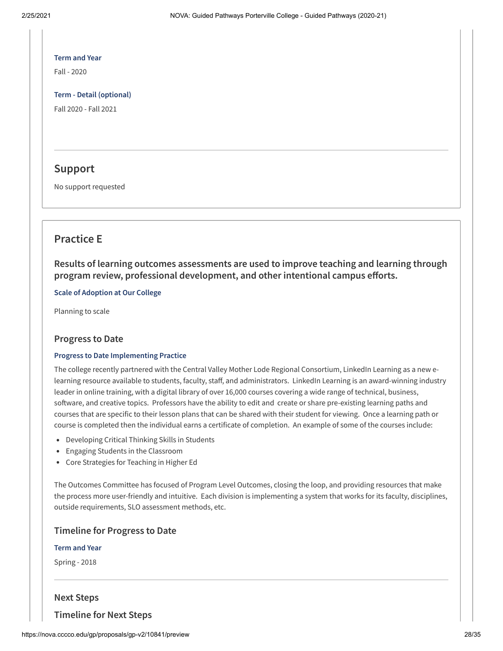# **Term and Year**

Fall - 2020

**Term - Detail (optional)** Fall 2020 - Fall 2021

## **Support**

No support requested

## **Practice E**

**Results of learning outcomes assessments are used to improve teaching and learning through program** review, professional development, and other intentional campus efforts.

**Scale of Adoption at Our College**

Planning to scale

## **Progress to Date**

## **Progress to Date Implementing Practice**

The college recently partnered with the Central Valley Mother Lode Regional Consortium, LinkedIn Learning as a new elearning resource available to students, faculty, staff, and administrators. LinkedIn Learning is an award-winning industry leader in online training, with a digital library of over 16,000 courses covering a wide range of technical, business, software, and creative topics. Professors have the ability to edit and create or share pre-existing learning paths and courses that are specific to their lesson plans that can be shared with their student for viewing. Once a learning path or course is completed then the individual earns a certificate of completion. An example of some of the courses include:

- Developing Critical Thinking Skills in Students
- Engaging Students in the Classroom
- Core Strategies for Teaching in Higher Ed

The Outcomes Committee has focused of Program Level Outcomes, closing the loop, and providing resources that make the process more user-friendly and intuitive. Each division is implementing a system that works for its faculty, disciplines, outside requirements, SLO assessment methods, etc.

## **Timeline for Progress to Date**

#### **Term and Year**

Spring - 2018

## **Next Steps**

**Timeline for Next Steps**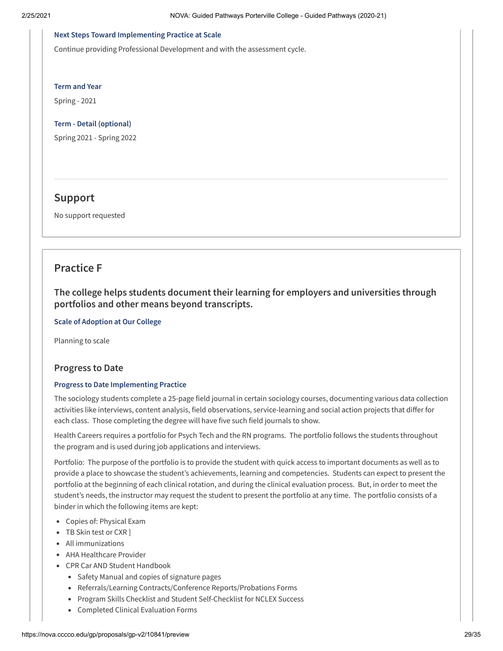#### **Next Steps Toward Implementing Practice at Scale**

Continue providing Professional Development and with the assessment cycle.

**Term and Year**

Spring - 2021

**Term - Detail (optional)**

Spring 2021 - Spring 2022

## **Support**

No support requested

## **Practice F**

**The college helps students document their learning for employers and universities through portfolios and other means beyond transcripts.**

**Scale of Adoption at Our College**

Planning to scale

## **Progress to Date**

## **Progress to Date Implementing Practice**

The sociology students complete a 25-page field journal in certain sociology courses, documenting various data collection activities like interviews, content analysis, field observations, service-learning and social action projects that differ for each class. Those completing the degree will have five such field journals to show.

Health Careers requires a portfolio for Psych Tech and the RN programs. The portfolio follows the students throughout the program and is used during job applications and interviews.

Portfolio: The purpose of the portfolio is to provide the student with quick access to important documents as well as to provide a place to showcase the student's achievements, learning and competencies. Students can expect to present the portfolio at the beginning of each clinical rotation, and during the clinical evaluation process. But, in order to meet the student's needs, the instructor may request the student to present the portfolio at any time. The portfolio consists of a binder in which the following items are kept:

- Copies of: Physical Exam
- TB Skin test or CXR ]
- All immunizations
- AHA Healthcare Provider
- CPR Car AND Student Handbook
	- Safety Manual and copies of signature pages
	- Referrals/Learning Contracts/Conference Reports/Probations Forms
	- Program Skills Checklist and Student Self-Checklist for NCLEX Success
	- Completed Clinical Evaluation Forms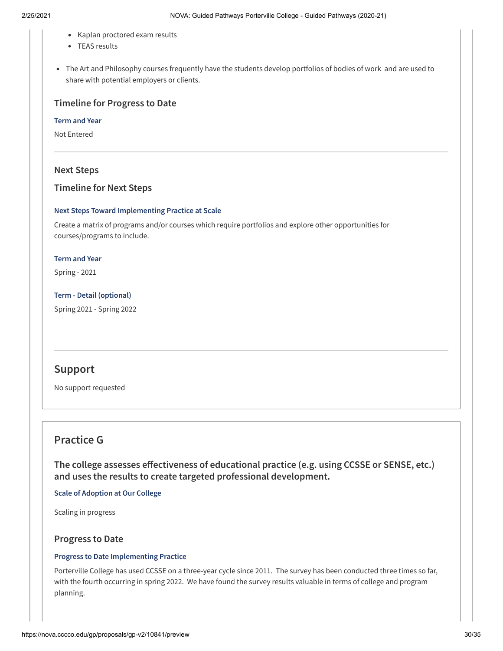- Kaplan proctored exam results
- TEAS results
- The Art and Philosophy courses frequently have the students develop portfolios of bodies of work and are used to share with potential employers or clients.

## **Timeline for Progress to Date**

**Term and Year**

Not Entered

## **Next Steps**

## **Timeline for Next Steps**

#### **Next Steps Toward Implementing Practice at Scale**

Create a matrix of programs and/or courses which require portfolios and explore other opportunities for courses/programs to include.

#### **Term and Year**

Spring - 2021

**Term - Detail (optional)** Spring 2021 - Spring 2022

## **Support**

No support requested

## **Practice G**

 $The$  **college** assesses effectiveness of educational practice (e.g. using CCSSE or SENSE, etc.) **and uses the results to create targeted professional development.**

**Scale of Adoption at Our College**

Scaling in progress

## **Progress to Date**

## **Progress to Date Implementing Practice**

Porterville College has used CCSSE on a three-year cycle since 2011. The survey has been conducted three times so far, with the fourth occurring in spring 2022. We have found the survey results valuable in terms of college and program planning.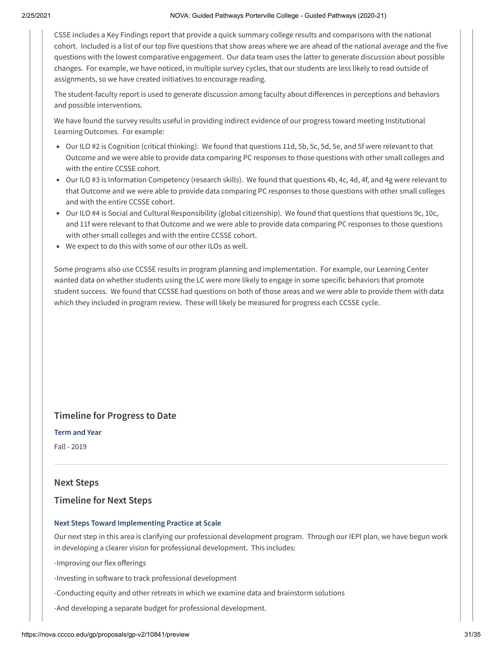CSSE includes a Key Findings report that provide a quick summary college results and comparisons with the national cohort. Included is a list of our top five questions that show areas where we are ahead of the national average and the five questions with the lowest comparative engagement. Our data team uses the latter to generate discussion about possible changes. For example, we have noticed, in multiple survey cycles, that our students are less likely to read outside of assignments, so we have created initiatives to encourage reading.

The student-faculty report is used to generate discussion among faculty about differences in perceptions and behaviors and possible interventions.

We have found the survey results useful in providing indirect evidence of our progress toward meeting Institutional Learning Outcomes. For example:

- Our ILO #2 is Cognition (critical thinking). We found that questions 11d, 5b, 5c, 5d, 5e, and 5f were relevant to that Outcome and we were able to provide data comparing PC responses to those questions with other small colleges and with the entire CCSSE cohort.
- Our ILO #3 is Information Competency (research skills). We found that questions 4b, 4c, 4d, 4f, and 4g were relevant to that Outcome and we were able to provide data comparing PC responses to those questions with other small colleges and with the entire CCSSE cohort.
- Our ILO #4 is Social and Cultural Responsibility (global citizenship). We found that questions that questions 9c, 10c, and 11f were relevant to that Outcome and we were able to provide data comparing PC responses to those questions with other small colleges and with the entire CCSSE cohort.
- We expect to do this with some of our other ILOs as well.

Some programs also use CCSSE results in program planning and implementation. For example, our Learning Center wanted data on whether students using the LC were more likely to engage in some specific behaviors that promote student success. We found that CCSSE had questions on both of those areas and we were able to provide them with data which they included in program review. These will likely be measured for progress each CCSSE cycle.

## **Timeline for Progress to Date**

#### **Term and Year**

Fall - 2019

## **Next Steps**

## **Timeline for Next Steps**

#### **Next Steps Toward Implementing Practice at Scale**

Our next step in this area is clarifying our professional development program. Through our IEPI plan, we have begun work in developing a clearer vision for professional development. This includes:

-Improving our flex offerings

-Investing in software to track professional development

-Conducting equity and other retreats in which we examine data and brainstorm solutions

-And developing a separate budget for professional development.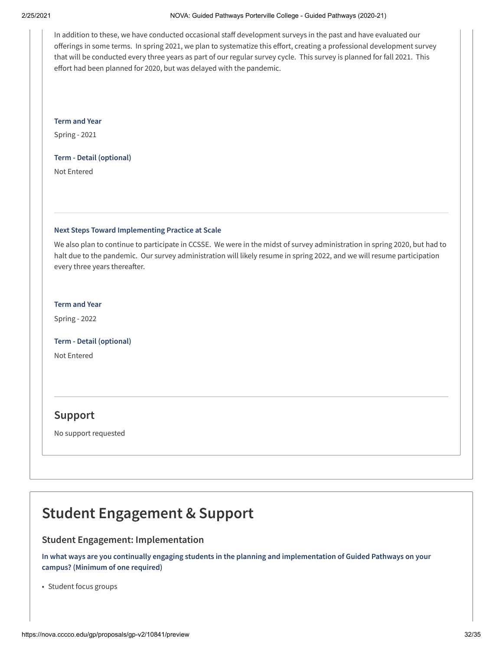#### 2/25/2021 NOVA: Guided Pathways Porterville College - Guided Pathways (2020-21)

In addition to these, we have conducted occasional staff development surveys in the past and have evaluated our offerings in some terms. In spring 2021, we plan to systematize this effort, creating a professional development survey that will be conducted every three years as part of our regular survey cycle. This survey is planned for fall 2021. This effort had been planned for 2020, but was delayed with the pandemic.

**Term and Year**

Spring - 2021

#### **Term - Detail (optional)**

Not Entered

## **Next Steps Toward Implementing Practice at Scale**

We also plan to continue to participate in CCSSE. We were in the midst of survey administration in spring 2020, but had to halt due to the pandemic. Our survey administration will likely resume in spring 2022, and we will resume participation every three years thereafter.

## **Term and Year**

Spring - 2022

**Term - Detail (optional)**

Not Entered

## **Support**

No support requested

# **Student Engagement & Support**

## **Student Engagement: Implementation**

**In what ways are you continually engaging students in the planning and implementation of Guided Pathways on your campus? (Minimum of one required)**

• Student focus groups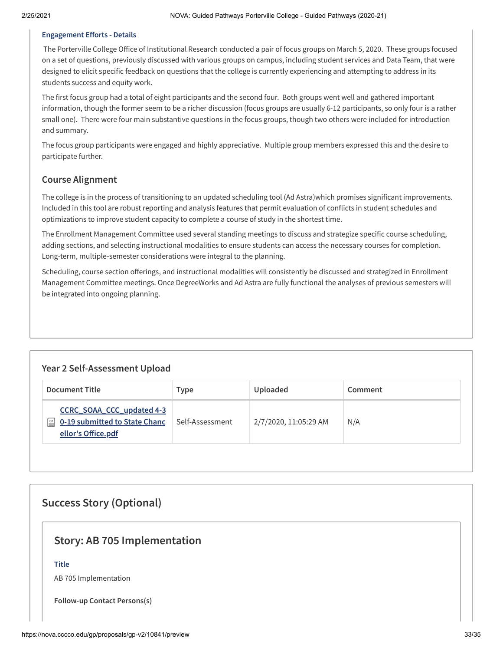## **Engagement Efforts - Details**

The Porterville College Office of Institutional Research conducted a pair of focus groups on March 5, 2020. These groups focused on a set of questions, previously discussed with various groups on campus, including student services and Data Team, that were designed to elicit specific feedback on questions that the college is currently experiencing and attempting to address in its students success and equity work.

The first focus group had a total of eight participants and the second four. Both groups went well and gathered important information, though the former seem to be a richer discussion (focus groups are usually 6-12 participants, so only four is a rather small one). There were four main substantive questions in the focus groups, though two others were included for introduction and summary.

The focus group participants were engaged and highly appreciative. Multiple group members expressed this and the desire to participate further.

## **Course Alignment**

The college is in the process of transitioning to an updated scheduling tool (Ad Astra)which promises significant improvements. Included in this tool are robust reporting and analysis features that permit evaluation of conflicts in student schedules and optimizations to improve student capacity to complete a course of study in the shortest time.

The Enrollment Management Committee used several standing meetings to discuss and strategize specific course scheduling, adding sections, and selecting instructional modalities to ensure students can access the necessary courses for completion. Long-term, multiple-semester considerations were integral to the planning.

Scheduling, course section offerings, and instructional modalities will consistently be discussed and strategized in Enrollment Management Committee meetings. Once DegreeWorks and Ad Astra are fully functional the analyses of previous semesters will be integrated into ongoing planning.

## **Year 2 Self-Assessment Upload**

| <b>Document Title</b>                                                                        | Type            | Uploaded              | Comment |
|----------------------------------------------------------------------------------------------|-----------------|-----------------------|---------|
| CCRC_SOAA_CCC_updated 4-3<br>0-19 submitted to State Chanc<br>$\equiv$<br>ellor's Office.pdf | Self-Assessment | 2/7/2020, 11:05:29 AM | N/A     |

## **Success Story (Optional)**

## **Story: AB 705 Implementation**

## **Title**

AB 705 Implementation

**Follow-up Contact Persons(s)**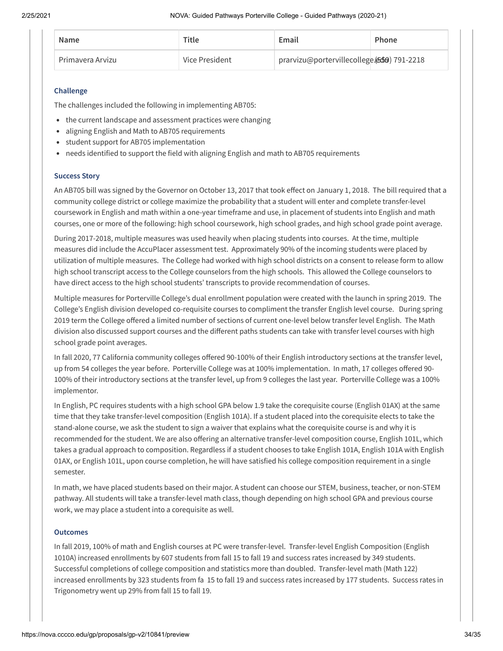| Name             | Title          | Email                                      | Phone |
|------------------|----------------|--------------------------------------------|-------|
| Primavera Arvizu | Vice President | prarvizu@portervillecollege.(559) 791-2218 |       |

#### **Challenge**

The challenges included the following in implementing AB705:

- the current landscape and assessment practices were changing
- aligning English and Math to AB705 requirements
- student support for AB705 implementation
- needs identified to support the field with aligning English and math to AB705 requirements

#### **Success Story**

An AB705 bill was signed by the Governor on October 13, 2017 that took effect on January 1, 2018. The bill required that a community college district or college maximize the probability that a student will enter and complete transfer-level coursework in English and math within a one-year timeframe and use, in placement of students into English and math courses, one or more of the following: high school coursework, high school grades, and high school grade point average.

During 2017-2018, multiple measures was used heavily when placing students into courses. At the time, multiple measures did include the AccuPlacer assessment test. Approximately 90% of the incoming students were placed by utilization of multiple measures. The College had worked with high school districts on a consent to release form to allow high school transcript access to the College counselors from the high schools. This allowed the College counselors to have direct access to the high school students' transcripts to provide recommendation of courses.

Multiple measures for Porterville College's dual enrollment population were created with the launch in spring 2019. The College's English division developed co-requisite courses to compliment the transfer English level course. During spring 2019 term the College offered a limited number of sections of current one-level below transfer level English. The Math division also discussed support courses and the different paths students can take with transfer level courses with high school grade point averages.

In fall 2020, 77 California community colleges offered 90-100% of their English introductory sections at the transfer level, up from 54 colleges the year before. Porterville College was at 100% implementation. In math, 17 colleges offered 90-100% of their introductory sections at the transfer level, up from 9 colleges the last year. Porterville College was a 100% implementor.

In English, PC requires students with a high school GPA below 1.9 take the corequisite course (English 01AX) at the same time that they take transfer-level composition (English 101A). If a student placed into the corequisite elects to take the stand-alone course, we ask the student to sign a waiver that explains what the corequisite course is and why it is recommended for the student. We are also offering an alternative transfer-level composition course, English 101L, which takes a gradual approach to composition. Regardless if a student chooses to take English 101A, English 101A with English 01AX, or English 101L, upon course completion, he will have satisfied his college composition requirement in a single semester.

In math, we have placed students based on their major. A student can choose our STEM, business, teacher, or non-STEM pathway. All students will take a transfer-level math class, though depending on high school GPA and previous course work, we may place a student into a corequisite as well.

#### **Outcomes**

In fall 2019, 100% of math and English courses at PC were transfer-level. Transfer-level English Composition (English 1010A) increased enrollments by 607 students from fall 15 to fall 19 and success rates increased by 349 students. Successful completions of college composition and statistics more than doubled. Transfer-level math (Math 122) increased enrollments by 323 students from fa 15 to fall 19 and success rates increased by 177 students. Success rates in Trigonometry went up 29% from fall 15 to fall 19.